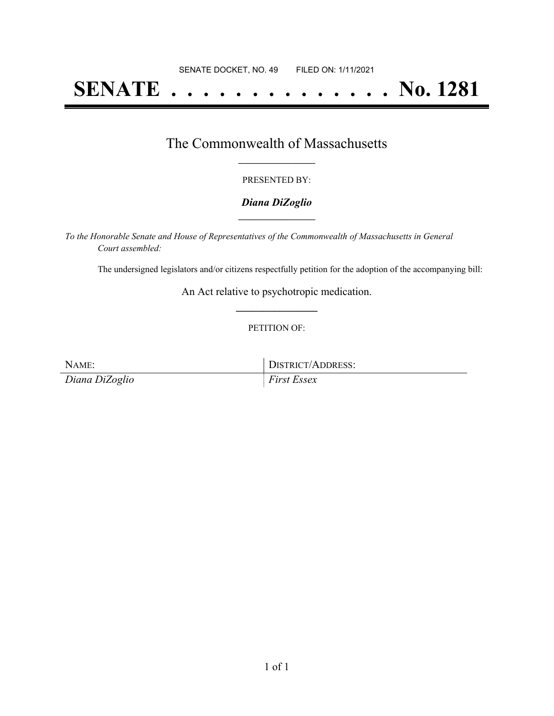# **SENATE . . . . . . . . . . . . . . No. 1281**

### The Commonwealth of Massachusetts **\_\_\_\_\_\_\_\_\_\_\_\_\_\_\_\_\_**

#### PRESENTED BY:

#### *Diana DiZoglio* **\_\_\_\_\_\_\_\_\_\_\_\_\_\_\_\_\_**

*To the Honorable Senate and House of Representatives of the Commonwealth of Massachusetts in General Court assembled:*

The undersigned legislators and/or citizens respectfully petition for the adoption of the accompanying bill:

An Act relative to psychotropic medication. **\_\_\_\_\_\_\_\_\_\_\_\_\_\_\_**

#### PETITION OF:

*Diana DiZoglio First Essex*

NAME: IDISTRICT/ADDRESS: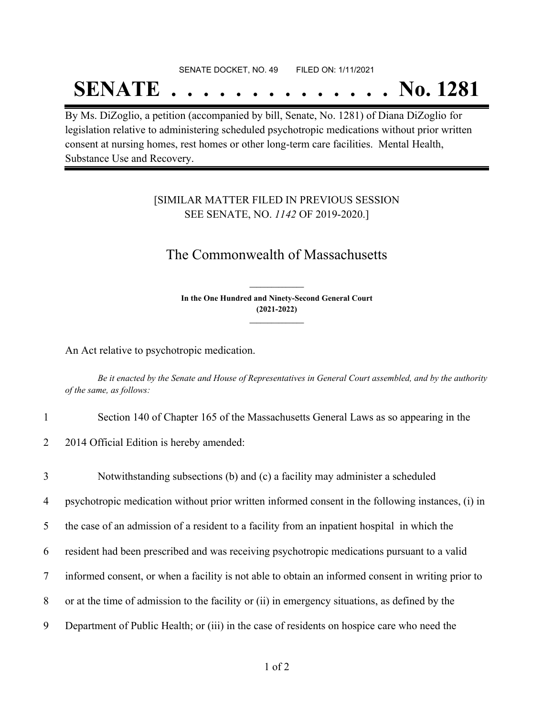#### SENATE DOCKET, NO. 49 FILED ON: 1/11/2021

## **SENATE . . . . . . . . . . . . . . No. 1281**

By Ms. DiZoglio, a petition (accompanied by bill, Senate, No. 1281) of Diana DiZoglio for legislation relative to administering scheduled psychotropic medications without prior written consent at nursing homes, rest homes or other long-term care facilities. Mental Health, Substance Use and Recovery.

#### [SIMILAR MATTER FILED IN PREVIOUS SESSION SEE SENATE, NO. *1142* OF 2019-2020.]

## The Commonwealth of Massachusetts

**In the One Hundred and Ninety-Second General Court (2021-2022) \_\_\_\_\_\_\_\_\_\_\_\_\_\_\_**

**\_\_\_\_\_\_\_\_\_\_\_\_\_\_\_**

An Act relative to psychotropic medication.

Be it enacted by the Senate and House of Representatives in General Court assembled, and by the authority *of the same, as follows:*

1 Section 140 of Chapter 165 of the Massachusetts General Laws as so appearing in the

2 2014 Official Edition is hereby amended:

 Notwithstanding subsections (b) and (c) a facility may administer a scheduled psychotropic medication without prior written informed consent in the following instances, (i) in the case of an admission of a resident to a facility from an inpatient hospital in which the resident had been prescribed and was receiving psychotropic medications pursuant to a valid informed consent, or when a facility is not able to obtain an informed consent in writing prior to or at the time of admission to the facility or (ii) in emergency situations, as defined by the Department of Public Health; or (iii) in the case of residents on hospice care who need the